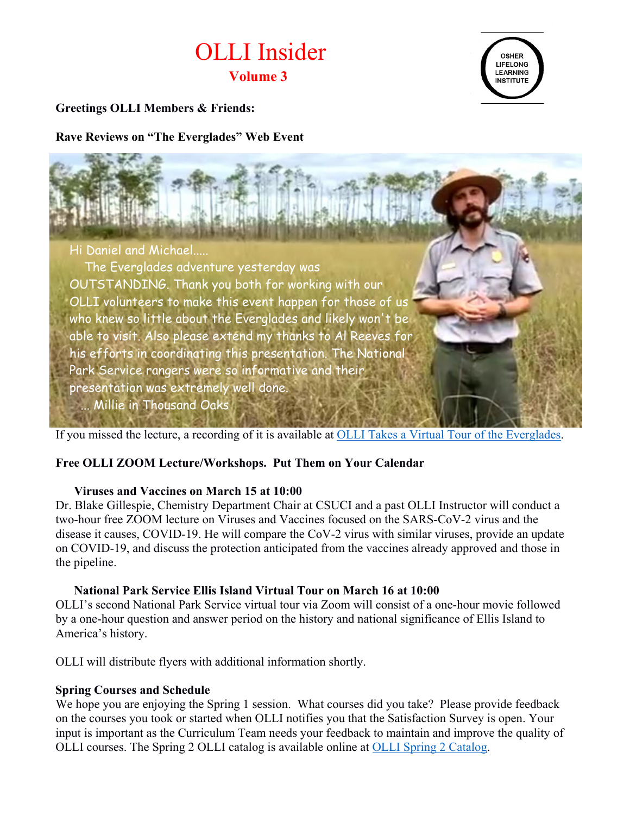# OLLI Insider **Volume 3**



## **Greetings OLLI Members & Friends:**

**Rave Reviews on "The Everglades" Web Event**



If you missed the lecture, a recording of it is available at [OLLI Takes a Virtual Tour of the Everglades.](https://csuci.zoom.us/rec/share/4Gaoal7nSV8LKPNlyy5LxlnL7hgDGJA8OojDPifqZzszpK_fr_jKo0JS118xsEgr.YZ3Ai5x485ZDC-Cb?startTime=1610474308000)

### **Free OLLI ZOOM Lecture/Workshops. Put Them on Your Calendar**

#### **Viruses and Vaccines on March 15 at 10:00**

Dr. Blake Gillespie, Chemistry Department Chair at CSUCI and a past OLLI Instructor will conduct a two-hour free ZOOM lecture on Viruses and Vaccines focused on the SARS-CoV-2 virus and the disease it causes, COVID-19. He will compare the CoV-2 virus with similar viruses, provide an update on COVID-19, and discuss the protection anticipated from the vaccines already approved and those in the pipeline.

### **National Park Service Ellis Island Virtual Tour on March 16 at 10:00**

OLLI's second National Park Service virtual tour via Zoom will consist of a one-hour movie followed by a one-hour question and answer period on the history and national significance of Ellis Island to America's history.

OLLI will distribute flyers with additional information shortly.

### **Spring Courses and Schedule**

We hope you are enjoying the Spring 1 session. What courses did you take? Please provide feedback on the courses you took or started when OLLI notifies you that the Satisfaction Survey is open. Your input is important as the Curriculum Team needs your feedback to maintain and improve the quality of OLLI courses. The Spring 2 OLLI catalog is available online at [OLLI Spring 2 Catalog.](https://ext.csuci.edu/programs/professional-community-ed/osher-lifelong-learning-institute/documents/spring-2-2021-catalog-1-29.pdf)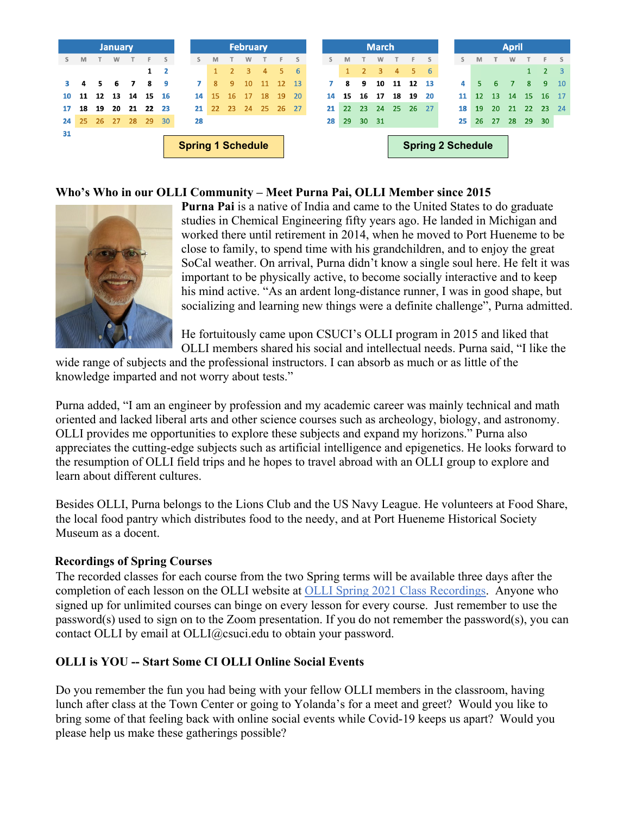|                          |    |    | <b>January</b> |    |    |             |    | <b>February</b> |                |    |    |    |     |                          | <b>March</b> |                 |    |    |    |    |  |    | <b>April</b>      |           |           |           |                 |     |  |  |
|--------------------------|----|----|----------------|----|----|-------------|----|-----------------|----------------|----|----|----|-----|--------------------------|--------------|-----------------|----|----|----|----|--|----|-------------------|-----------|-----------|-----------|-----------------|-----|--|--|
| S.                       | M  |    | W              |    | F  |             | s  | M               |                | W  |    | F  | S   | s                        | M            |                 | w  |    | F. | S  |  | s  | M                 |           | W         |           | Е               |     |  |  |
|                          |    |    |                |    |    | $1 \quad 2$ |    | $\mathbf{1}$    | $\overline{2}$ | 3  | 4  | 5  | 6   |                          | 1            | 2 <sup>1</sup>  | 3  | 4  | 5. | 6  |  |    |                   |           |           | 1         | $\overline{2}$  |     |  |  |
|                          | 4  | 5. | 6              | 7  | 8  | - 9         | 7  | 8               | 9              | 10 | 11 | 12 | 13  |                          | 8            | 9               | 10 | 11 | 12 | 13 |  | 4  | 5                 | 6         |           | 8         | 9               | 10  |  |  |
| 10                       | 11 | 12 | 13             | 14 | 15 | 16          | 14 | 15              | 16             | 17 | 18 | 19 | 20  | 14                       | 15           | 16              | 17 | 18 | 19 | 20 |  | 11 | $12 \overline{ }$ | <b>13</b> | <b>14</b> | <b>15</b> | 16              | -17 |  |  |
| 17                       | 18 | 19 | 20             | 21 | 22 | -23         | 21 | 22              | 23             | 24 | 25 | 26 | -27 | 21                       | 22           | 23 <sup>°</sup> | 24 | 25 | 26 | 27 |  | 18 | 19                | 20        | 21        | 22        | 23 <sup>°</sup> | 24  |  |  |
| 24                       | 25 | 26 | 27             | 28 | 29 | 30          | 28 |                 |                |    |    |    |     | 28                       | 29           | 30 31           |    |    |    |    |  | 25 | 26                | 27        | 28        | 29        | 30              |     |  |  |
| 31                       |    |    |                |    |    |             |    |                 |                |    |    |    |     |                          |              |                 |    |    |    |    |  |    |                   |           |           |           |                 |     |  |  |
| <b>Spring 1 Schedule</b> |    |    |                |    |    |             |    |                 |                |    |    |    |     | <b>Spring 2 Schedule</b> |              |                 |    |    |    |    |  |    |                   |           |           |           |                 |     |  |  |

## **Who's Who in our OLLI Community – Meet Purna Pai, OLLI Member since 2015**



**Purna Pai** is a native of India and came to the United States to do graduate studies in Chemical Engineering fifty years ago. He landed in Michigan and worked there until retirement in 2014, when he moved to Port Hueneme to be close to family, to spend time with his grandchildren, and to enjoy the great SoCal weather. On arrival, Purna didn't know a single soul here. He felt it was important to be physically active, to become socially interactive and to keep his mind active. "As an ardent long-distance runner, I was in good shape, but socializing and learning new things were a definite challenge", Purna admitted.

He fortuitously came upon CSUCI's OLLI program in 2015 and liked that OLLI members shared his social and intellectual needs. Purna said, "I like the

wide range of subjects and the professional instructors. I can absorb as much or as little of the knowledge imparted and not worry about tests."

Purna added, "I am an engineer by profession and my academic career was mainly technical and math oriented and lacked liberal arts and other science courses such as archeology, biology, and astronomy. OLLI provides me opportunities to explore these subjects and expand my horizons." Purna also appreciates the cutting-edge subjects such as artificial intelligence and epigenetics. He looks forward to the resumption of OLLI field trips and he hopes to travel abroad with an OLLI group to explore and learn about different cultures.

Besides OLLI, Purna belongs to the Lions Club and the US Navy League. He volunteers at Food Share, the local food pantry which distributes food to the needy, and at Port Hueneme Historical Society Museum as a docent.

### **Recordings of Spring Courses**

The recorded classes for each course from the two Spring terms will be available three days after the completion of each lesson on the OLLI website at [OLLI Spring 2021 Class Recordings.](https://ext.csuci.edu/programs/professional-community-ed/osher-lifelong-learning-institute/online-courses.htm) Anyone who signed up for unlimited courses can binge on every lesson for every course. Just remember to use the password(s) used to sign on to the Zoom presentation. If you do not remember the password(s), you can contact OLLI by email at [OLLI@csuci.edu](mailto:OLLI@csuci.edu) to obtain your password.

## **OLLI is YOU -- Start Some CI OLLI Online Social Events**

Do you remember the fun you had being with your fellow OLLI members in the classroom, having lunch after class at the Town Center or going to Yolanda's for a meet and greet? Would you like to bring some of that feeling back with online social events while Covid-19 keeps us apart? Would you please help us make these gatherings possible?